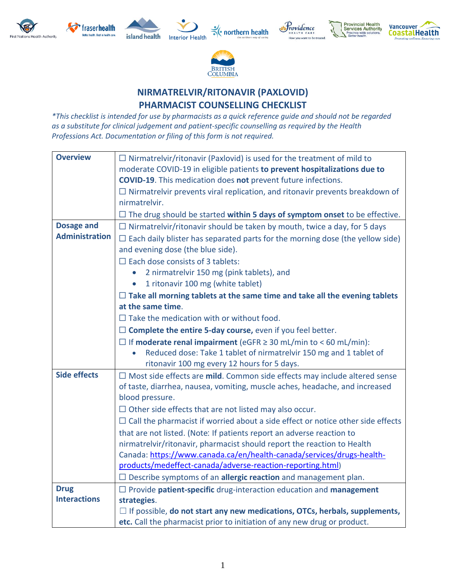



island health **Interior Health** 











## **NIRMATRELVIR/RITONAVIR (PAXLOVID) PHARMACIST COUNSELLING CHECKLIST**

*\*This checklist is intended for use by pharmacists as a quick reference guide and should not be regarded as a substitute for clinical judgement and patient-specific counselling as required by the Health Professions Act. Documentation or filing of this form is not required.*

| <b>Overview</b>       | $\Box$ Nirmatrelvir/ritonavir (Paxlovid) is used for the treatment of mild to<br>moderate COVID-19 in eligible patients to prevent hospitalizations due to<br><b>COVID-19.</b> This medication does not prevent future infections.<br>$\Box$ Nirmatrelvir prevents viral replication, and ritonavir prevents breakdown of<br>nirmatrelvir. |
|-----------------------|--------------------------------------------------------------------------------------------------------------------------------------------------------------------------------------------------------------------------------------------------------------------------------------------------------------------------------------------|
|                       | $\Box$ The drug should be started within 5 days of symptom onset to be effective.                                                                                                                                                                                                                                                          |
| <b>Dosage and</b>     | $\Box$ Nirmatrelvir/ritonavir should be taken by mouth, twice a day, for 5 days                                                                                                                                                                                                                                                            |
| <b>Administration</b> | $\Box$ Each daily blister has separated parts for the morning dose (the yellow side)                                                                                                                                                                                                                                                       |
|                       | and evening dose (the blue side).                                                                                                                                                                                                                                                                                                          |
|                       | $\Box$ Each dose consists of 3 tablets:                                                                                                                                                                                                                                                                                                    |
|                       | 2 nirmatrelvir 150 mg (pink tablets), and                                                                                                                                                                                                                                                                                                  |
|                       | 1 ritonavir 100 mg (white tablet)<br>$\bullet$                                                                                                                                                                                                                                                                                             |
|                       | $\Box$ Take all morning tablets at the same time and take all the evening tablets                                                                                                                                                                                                                                                          |
|                       | at the same time.                                                                                                                                                                                                                                                                                                                          |
|                       | $\Box$ Take the medication with or without food.                                                                                                                                                                                                                                                                                           |
|                       | $\Box$ Complete the entire 5-day course, even if you feel better.                                                                                                                                                                                                                                                                          |
|                       | $\Box$ If moderate renal impairment (eGFR $\geq$ 30 mL/min to < 60 mL/min):                                                                                                                                                                                                                                                                |
|                       | Reduced dose: Take 1 tablet of nirmatrelvir 150 mg and 1 tablet of                                                                                                                                                                                                                                                                         |
|                       | ritonavir 100 mg every 12 hours for 5 days.                                                                                                                                                                                                                                                                                                |
| <b>Side effects</b>   | $\Box$ Most side effects are mild. Common side effects may include altered sense                                                                                                                                                                                                                                                           |
|                       | of taste, diarrhea, nausea, vomiting, muscle aches, headache, and increased<br>blood pressure.                                                                                                                                                                                                                                             |
|                       |                                                                                                                                                                                                                                                                                                                                            |
|                       | $\Box$ Other side effects that are not listed may also occur.<br>$\Box$ Call the pharmacist if worried about a side effect or notice other side effects                                                                                                                                                                                    |
|                       |                                                                                                                                                                                                                                                                                                                                            |
|                       | that are not listed. (Note: If patients report an adverse reaction to<br>nirmatrelvir/ritonavir, pharmacist should report the reaction to Health                                                                                                                                                                                           |
|                       | Canada: https://www.canada.ca/en/health-canada/services/drugs-health-                                                                                                                                                                                                                                                                      |
|                       | products/medeffect-canada/adverse-reaction-reporting.html)                                                                                                                                                                                                                                                                                 |
|                       | $\Box$ Describe symptoms of an allergic reaction and management plan.                                                                                                                                                                                                                                                                      |
| <b>Drug</b>           | $\Box$ Provide patient-specific drug-interaction education and management                                                                                                                                                                                                                                                                  |
| <b>Interactions</b>   | strategies.                                                                                                                                                                                                                                                                                                                                |
|                       | $\Box$ If possible, do not start any new medications, OTCs, herbals, supplements,                                                                                                                                                                                                                                                          |
|                       | etc. Call the pharmacist prior to initiation of any new drug or product.                                                                                                                                                                                                                                                                   |